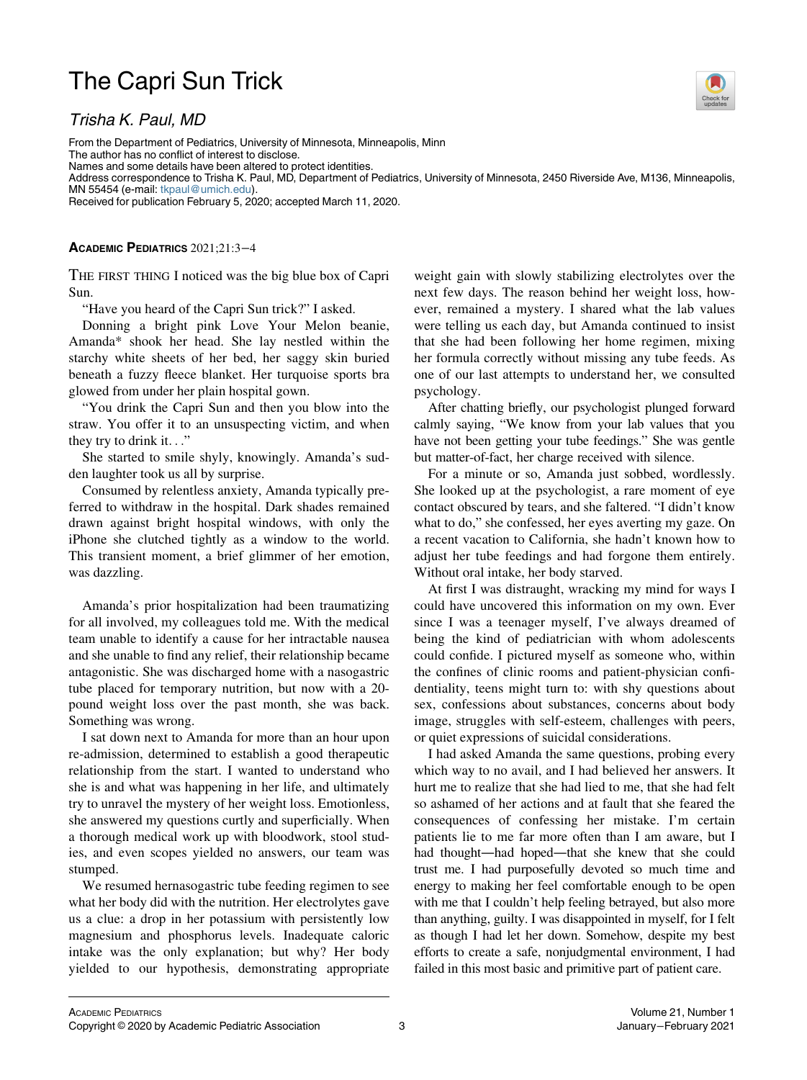## The Capri Sun Trick

Trisha K. Paul, MD

From the Department of Pediatrics, University of Minnesota, Minneapolis, Minn The author has no conflict of interest to disclose. Names and some details have been altered to protect identities. Address correspondence to Trisha K. Paul, MD, Department of Pediatrics, University of Minnesota, 2450 Riverside Ave, M136, Minneapolis, MN 55454 (e-mail: [tkpaul@umich.edu](mailto:tkpaul@umich.edu)). Received for publication February 5, 2020; accepted March 11, 2020.

ACADEMIC PEDIATRICS 2021;21:3−4

THE FIRST THING I noticed was the big blue box of Capri Sun.

"Have you heard of the Capri Sun trick?" I asked.

Donning a bright pink Love Your Melon beanie, Amanda\* shook her head. She lay nestled within the starchy white sheets of her bed, her saggy skin buried beneath a fuzzy fleece blanket. Her turquoise sports bra glowed from under her plain hospital gown.

"You drink the Capri Sun and then you blow into the straw. You offer it to an unsuspecting victim, and when they try to drink it..."

She started to smile shyly, knowingly. Amanda's sudden laughter took us all by surprise.

Consumed by relentless anxiety, Amanda typically preferred to withdraw in the hospital. Dark shades remained drawn against bright hospital windows, with only the iPhone she clutched tightly as a window to the world. This transient moment, a brief glimmer of her emotion, was dazzling.

Amanda's prior hospitalization had been traumatizing for all involved, my colleagues told me. With the medical team unable to identify a cause for her intractable nausea and she unable to find any relief, their relationship became antagonistic. She was discharged home with a nasogastric tube placed for temporary nutrition, but now with a 20 pound weight loss over the past month, she was back. Something was wrong.

I sat down next to Amanda for more than an hour upon re-admission, determined to establish a good therapeutic relationship from the start. I wanted to understand who she is and what was happening in her life, and ultimately try to unravel the mystery of her weight loss. Emotionless, she answered my questions curtly and superficially. When a thorough medical work up with bloodwork, stool studies, and even scopes yielded no answers, our team was stumped.

We resumed hernasogastric tube feeding regimen to see what her body did with the nutrition. Her electrolytes gave us a clue: a drop in her potassium with persistently low magnesium and phosphorus levels. Inadequate caloric intake was the only explanation; but why? Her body yielded to our hypothesis, demonstrating appropriate weight gain with slowly stabilizing electrolytes over the next few days. The reason behind her weight loss, however, remained a mystery. I shared what the lab values were telling us each day, but Amanda continued to insist that she had been following her home regimen, mixing her formula correctly without missing any tube feeds. As one of our last attempts to understand her, we consulted psychology.

After chatting briefly, our psychologist plunged forward calmly saying, "We know from your lab values that you have not been getting your tube feedings." She was gentle but matter-of-fact, her charge received with silence.

For a minute or so, Amanda just sobbed, wordlessly. She looked up at the psychologist, a rare moment of eye contact obscured by tears, and she faltered. "I didn't know what to do," she confessed, her eyes averting my gaze. On a recent vacation to California, she hadn't known how to adjust her tube feedings and had forgone them entirely. Without oral intake, her body starved.

At first I was distraught, wracking my mind for ways I could have uncovered this information on my own. Ever since I was a teenager myself, I've always dreamed of being the kind of pediatrician with whom adolescents could confide. I pictured myself as someone who, within the confines of clinic rooms and patient-physician confidentiality, teens might turn to: with shy questions about sex, confessions about substances, concerns about body image, struggles with self-esteem, challenges with peers, or quiet expressions of suicidal considerations.

I had asked Amanda the same questions, probing every which way to no avail, and I had believed her answers. It hurt me to realize that she had lied to me, that she had felt so ashamed of her actions and at fault that she feared the consequences of confessing her mistake. I'm certain patients lie to me far more often than I am aware, but I had thought—had hoped—that she knew that she could trust me. I had purposefully devoted so much time and energy to making her feel comfortable enough to be open with me that I couldn't help feeling betrayed, but also more than anything, guilty. I was disappointed in myself, for I felt as though I had let her down. Somehow, despite my best efforts to create a safe, nonjudgmental environment, I had failed in this most basic and primitive part of patient care.